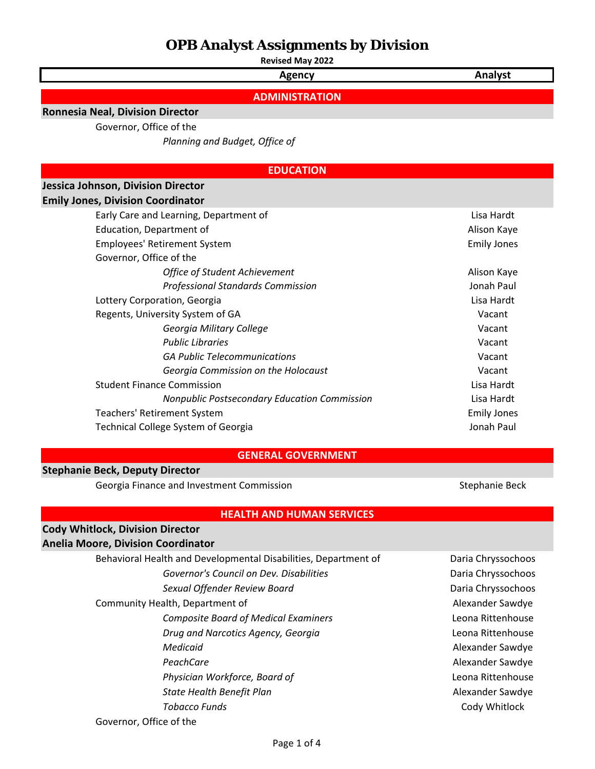**Revised May 2022**

**Agency Analyst**

**ADMINISTRATION**

### **Ronnesia Neal, Division Director**

Governor, Office of the

*Planning and Budget, Office of* 

### **EDUCATION**

### **Jessica Johnson, Division Director**

#### **Emily Jones, Division Coordinator**

| Early Care and Learning, Department of              | Lisa Hardt  |  |  |
|-----------------------------------------------------|-------------|--|--|
| Education, Department of                            | Alison Kaye |  |  |
| <b>Employees' Retirement System</b>                 |             |  |  |
| Governor, Office of the                             |             |  |  |
| <b>Office of Student Achievement</b>                | Alison Kaye |  |  |
| <b>Professional Standards Commission</b>            | Jonah Paul  |  |  |
| Lottery Corporation, Georgia                        | Lisa Hardt  |  |  |
| Regents, University System of GA                    | Vacant      |  |  |
| Georgia Military College                            | Vacant      |  |  |
| <b>Public Libraries</b>                             | Vacant      |  |  |
| <b>GA Public Telecommunications</b>                 | Vacant      |  |  |
| Georgia Commission on the Holocaust                 | Vacant      |  |  |
| <b>Student Finance Commission</b>                   | Lisa Hardt  |  |  |
| <b>Nonpublic Postsecondary Education Commission</b> | Lisa Hardt  |  |  |
| Teachers' Retirement System                         |             |  |  |
| Technical College System of Georgia                 |             |  |  |
|                                                     |             |  |  |

### **GENERAL GOVERNMENT**

### **Stephanie Beck, Deputy Director**

Georgia Finance and Investment Commission **Stephanie Beck** Stephanie Beck

### **HEALTH AND HUMAN SERVICES**

# **Cody Whitlock, Division Director**

## **Anelia Moore, Division Coordinator**

Governor, Office of the

Behavioral Health and Developmental Disabilities, Department of Daria Chryssochoos Governor's Council on Dev. Disabilities **Daria Chryssochoos** Daria Chryssochoos *Sexual Offender Review Board* Daria Chryssochoos Community Health, Department of Alexander Sawdye *Composite Board of Medical Examiners* Leona Rittenhouse *Drug and Narcotics Agency, Georgia* Leona Rittenhouse **Medicaid Alexander Sawdye Alexander Sawdye Alexander Sawdye** PeachCare **Alexander Sawdye Alexander Sawdye** *Physician Workforce, Board of* Leona Rittenhouse **State Health Benefit Plan** Alexander Sawdye **Tobacco Funds** Cody Whitlock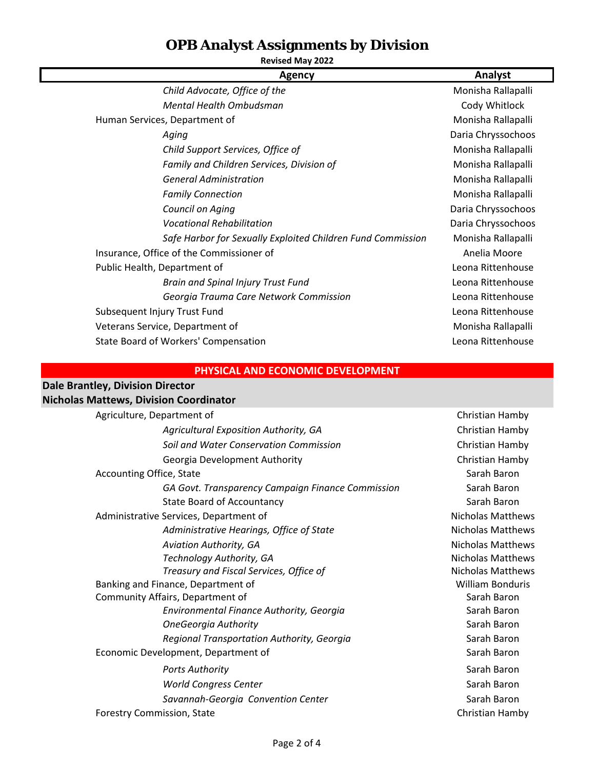## **Revised May 2022**

| <b>Agency</b>                                               | Analyst            |
|-------------------------------------------------------------|--------------------|
| Child Advocate, Office of the                               | Monisha Rallapalli |
| Mental Health Ombudsman                                     | Cody Whitlock      |
| Human Services, Department of                               | Monisha Rallapalli |
| Aging                                                       | Daria Chryssochoos |
| Child Support Services, Office of                           | Monisha Rallapalli |
| Family and Children Services, Division of                   | Monisha Rallapalli |
| <b>General Administration</b>                               | Monisha Rallapalli |
| <b>Family Connection</b>                                    | Monisha Rallapalli |
| Council on Aging                                            | Daria Chryssochoos |
| <b>Vocational Rehabilitation</b>                            | Daria Chryssochoos |
| Safe Harbor for Sexually Exploited Children Fund Commission | Monisha Rallapalli |
| Insurance, Office of the Commissioner of                    | Anelia Moore       |
| Public Health, Department of                                | Leona Rittenhouse  |
| <b>Brain and Spinal Injury Trust Fund</b>                   | Leona Rittenhouse  |
| Georgia Trauma Care Network Commission                      | Leona Rittenhouse  |
| Subsequent Injury Trust Fund                                | Leona Rittenhouse  |
| Veterans Service, Department of                             | Monisha Rallapalli |
| State Board of Workers' Compensation                        | Leona Rittenhouse  |

## **PHYSICAL AND ECONOMIC DEVELOPMENT**

## **Dale Brantley, Division Director**

### **Nicholas Mattews, Division Coordinator**

| Agriculture, Department of                        | Christian Hamby          |
|---------------------------------------------------|--------------------------|
| Agricultural Exposition Authority, GA             | Christian Hamby          |
| Soil and Water Conservation Commission            | Christian Hamby          |
| Georgia Development Authority                     | Christian Hamby          |
| <b>Accounting Office, State</b>                   | Sarah Baron              |
| GA Govt. Transparency Campaign Finance Commission | Sarah Baron              |
| <b>State Board of Accountancy</b>                 | Sarah Baron              |
| Administrative Services, Department of            | <b>Nicholas Matthews</b> |
| Administrative Hearings, Office of State          | <b>Nicholas Matthews</b> |
| Aviation Authority, GA                            | <b>Nicholas Matthews</b> |
| Technology Authority, GA                          | <b>Nicholas Matthews</b> |
| Treasury and Fiscal Services, Office of           | <b>Nicholas Matthews</b> |
| Banking and Finance, Department of                | <b>William Bonduris</b>  |
| Community Affairs, Department of                  | Sarah Baron              |
| Environmental Finance Authority, Georgia          | Sarah Baron              |
| <b>OneGeorgia Authority</b>                       | Sarah Baron              |
| Regional Transportation Authority, Georgia        | Sarah Baron              |
| Economic Development, Department of               | Sarah Baron              |
| <b>Ports Authority</b>                            | Sarah Baron              |
| <b>World Congress Center</b>                      | Sarah Baron              |
| Savannah-Georgia Convention Center                | Sarah Baron              |
| <b>Forestry Commission, State</b>                 | Christian Hamby          |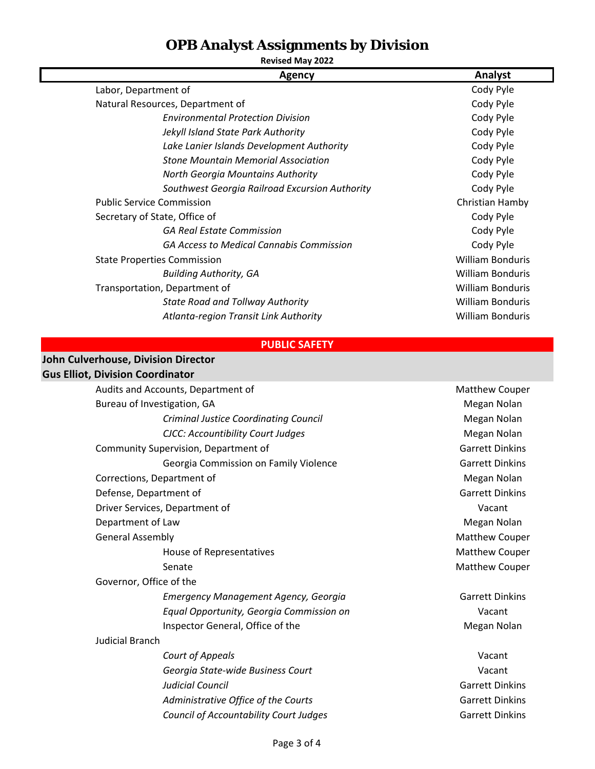**Agency Analyst Revised May 2022** Labor, Department of Cody Pyle Natural Resources, Department of Cody Pyle *Environmental Protection Division* Cody Pyle *Jekyll Island State Park Authority* Cody Pyle Lake Lanier Islands Development Authority **Cody Pyle Stone Mountain Memorial Association** Cody Pyle **North Georgia Mountains Authority** Cody Pyle Southwest Georgia Railroad Excursion Authority **Communist Cody Pyle** Public Service Commission **Christian Hamby** Christian Hamby Secretary of State, Office of  $\overline{C}$  ody Pyle **GA Real Estate Commission** Cody Pyle *GA Access to Medical Cannabis Commission* Cody Pyle State Properties Commission **William Bonduris** William Bonduris *Building Authority, GA* William Bonduris Transportation, Department of William Bonduris **State Road and Tollway Authority Milliam Bonduris** William Bonduris

#### **PUBLIC SAFETY**

*Atlanta‐region Transit Link Authority* William Bonduris

### **Gus Elliot, Division Coordinator John Culverhouse, Division Director**

|                         | Audits and Accounts, Department of            | <b>Matthew Couper</b>  |  |
|-------------------------|-----------------------------------------------|------------------------|--|
|                         | Bureau of Investigation, GA                   | Megan Nolan            |  |
|                         | <b>Criminal Justice Coordinating Council</b>  | Megan Nolan            |  |
|                         | CJCC: Accountibility Court Judges             | Megan Nolan            |  |
|                         | Community Supervision, Department of          | <b>Garrett Dinkins</b> |  |
|                         | Georgia Commission on Family Violence         | <b>Garrett Dinkins</b> |  |
|                         | Corrections, Department of                    | Megan Nolan            |  |
|                         | Defense, Department of                        | <b>Garrett Dinkins</b> |  |
|                         | Driver Services, Department of                | Vacant                 |  |
|                         | Department of Law                             | Megan Nolan            |  |
|                         | <b>General Assembly</b>                       | <b>Matthew Couper</b>  |  |
|                         | House of Representatives                      | Matthew Couper         |  |
|                         | Senate                                        | <b>Matthew Couper</b>  |  |
| Governor, Office of the |                                               |                        |  |
|                         | <b>Emergency Management Agency, Georgia</b>   | <b>Garrett Dinkins</b> |  |
|                         | Equal Opportunity, Georgia Commission on      | Vacant                 |  |
|                         | Inspector General, Office of the              | Megan Nolan            |  |
| <b>Judicial Branch</b>  |                                               |                        |  |
|                         | Court of Appeals                              | Vacant                 |  |
|                         | Georgia State-wide Business Court             | Vacant                 |  |
|                         | <b>Judicial Council</b>                       | <b>Garrett Dinkins</b> |  |
|                         | Administrative Office of the Courts           | <b>Garrett Dinkins</b> |  |
|                         | <b>Council of Accountability Court Judges</b> | <b>Garrett Dinkins</b> |  |
|                         |                                               |                        |  |